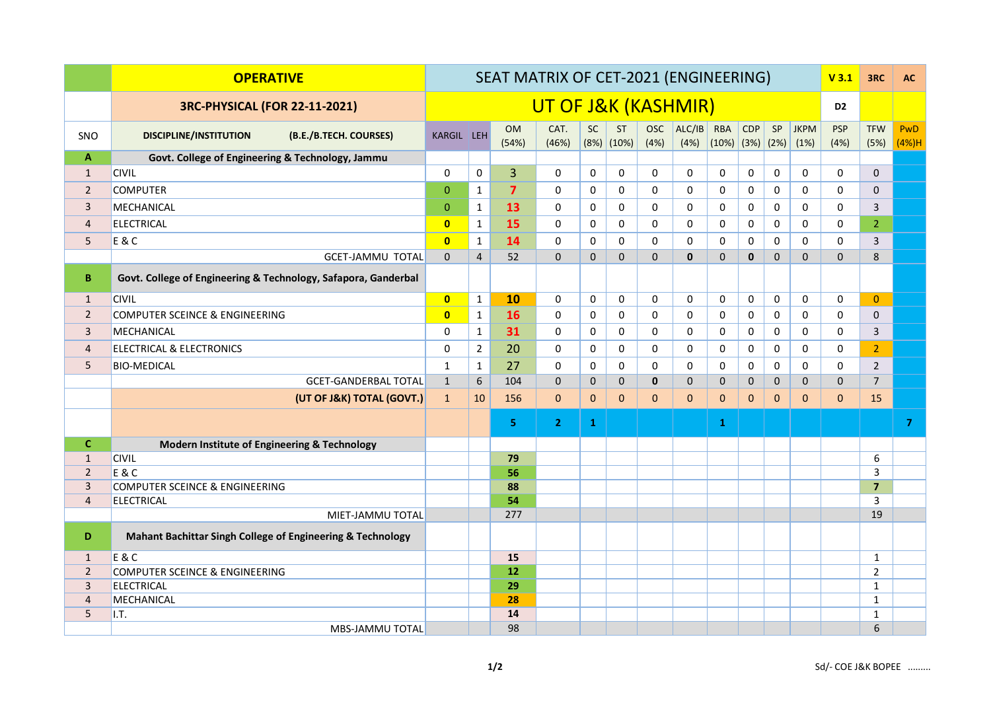|                         | <b>OPERATIVE</b>                                               | SEAT MATRIX OF CET-2021 (ENGINEERING) |                |                    |                |              |                      |                    |                |                                  |              |              |                     |                    | 3RC                            | <b>AC</b>    |
|-------------------------|----------------------------------------------------------------|---------------------------------------|----------------|--------------------|----------------|--------------|----------------------|--------------------|----------------|----------------------------------|--------------|--------------|---------------------|--------------------|--------------------------------|--------------|
|                         | <b>3RC-PHYSICAL (FOR 22-11-2021)</b>                           | UT OF J&K (KASHMIR)                   |                |                    |                |              |                      |                    |                |                                  |              |              |                     | D <sub>2</sub>     |                                |              |
| SNO                     | <b>DISCIPLINE/INSTITUTION</b><br>(B.E./B.TECH. COURSES)        | KARGIL LEH                            |                | <b>OM</b><br>(54%) | CAT.<br>(46%)  | <b>SC</b>    | ST<br>$(8%)$ $(10%)$ | <b>OSC</b><br>(4%) | ALC/IB<br>(4%) | <b>RBA</b><br>$(10\%)$ (3%) (2%) | CDP          | SP           | <b>JKPM</b><br>(1%) | <b>PSP</b><br>(4%) | <b>TFW</b><br>(5%)             | PwD<br>(4%)H |
| A                       | Govt. College of Engineering & Technology, Jammu               |                                       |                |                    |                |              |                      |                    |                |                                  |              |              |                     |                    |                                |              |
| $\mathbf{1}$            | <b>CIVIL</b>                                                   | 0                                     | 0              | 3                  | $\Omega$       | 0            | $\mathbf{0}$         | $\Omega$           | $\Omega$       | 0                                | 0            | 0            | $\Omega$            | 0                  | $\mathbf 0$                    |              |
| $\overline{2}$          | <b>COMPUTER</b>                                                | $\overline{0}$                        | $\mathbf{1}$   | $\overline{7}$     | 0              | 0            | 0                    | $\mathbf 0$        | 0              | 0                                | 0            | 0            | 0                   | 0                  | $\mathbf 0$                    |              |
| 3                       | MECHANICAL                                                     | $\overline{0}$                        | $\mathbf{1}$   | 13                 | 0              | $\mathbf 0$  | $\mathbf 0$          | $\mathbf 0$        | 0              | 0                                | $\mathbf 0$  | $\mathbf 0$  | 0                   | 0                  | $\mathbf{3}$                   |              |
| $\overline{4}$          | <b>ELECTRICAL</b>                                              | $\bullet$                             | $\mathbf{1}$   | 15                 | 0              | 0            | $\mathbf 0$          | 0                  | 0              | 0                                | 0            | $\mathbf 0$  | $\mathbf 0$         | 0                  | $\overline{2}$                 |              |
| 5                       | E&C                                                            | $\bullet$                             | $\mathbf{1}$   | 14                 | 0              | $\mathbf 0$  | $\mathbf 0$          | $\mathbf 0$        | 0              | 0                                | $\mathbf 0$  | 0            | 0                   | 0                  | 3                              |              |
|                         | <b>GCET-JAMMU TOTAL</b>                                        | $\mathbf 0$                           | $\overline{4}$ | 52                 | $\overline{0}$ | $\mathbf{0}$ | $\mathbf 0$          | $\mathbf{0}$       | $\mathbf{0}$   | $\mathbf{0}$                     | $\mathbf{0}$ | $\mathbf{0}$ | $\mathbf{0}$        | $\overline{0}$     | 8                              |              |
| B.                      | Govt. College of Engineering & Technology, Safapora, Ganderbal |                                       |                |                    |                |              |                      |                    |                |                                  |              |              |                     |                    |                                |              |
| $\mathbf{1}$            | <b>CIVIL</b>                                                   | $\bullet$                             | $\mathbf{1}$   | 10                 | $\Omega$       | 0            | $\mathbf 0$          | 0                  | 0              | $\mathbf 0$                      | 0            | 0            | $\mathbf 0$         | 0                  | $\overline{0}$                 |              |
| $\overline{2}$          | COMPUTER SCEINCE & ENGINEERING                                 | $\overline{0}$                        | $\mathbf{1}$   | 16                 | $\Omega$       | $\mathbf 0$  | $\mathbf 0$          | $\Omega$           | 0              | 0                                | 0            | 0            | $\mathbf 0$         | 0                  | $\mathbf{0}$                   |              |
| 3                       | MECHANICAL                                                     | 0                                     | $\mathbf{1}$   | 31                 | 0              | 0            | $\mathbf 0$          | $\mathbf 0$        | 0              | 0                                | 0            | $\mathbf 0$  | $\mathbf 0$         | 0                  | $\overline{3}$                 |              |
| $\overline{4}$          | <b>ELECTRICAL &amp; ELECTRONICS</b>                            | 0                                     | $\overline{2}$ | 20                 | 0              | $\mathbf 0$  | $\mathbf 0$          | $\mathbf 0$        | 0              | 0                                | 0            | 0            | 0                   | 0                  | $\overline{2}$                 |              |
| 5                       | <b>BIO-MEDICAL</b>                                             | $\mathbf{1}$                          | $\mathbf{1}$   | 27                 | $\mathbf 0$    | $\mathbf 0$  | $\mathbf 0$          | $\mathbf 0$        | $\mathbf 0$    | $\mathbf{0}$                     | 0            | 0            | 0                   | $\mathbf 0$        | $\overline{2}$                 |              |
|                         | <b>GCET-GANDERBAL TOTAL</b>                                    | $\mathbf{1}$                          | 6              | 104                | $\mathbf{0}$   | $\mathbf 0$  | $\mathbf 0$          | $\mathbf{0}$       | $\mathbf 0$    | $\mathbf 0$                      | $\mathbf 0$  | $\mathbf 0$  | $\mathbf 0$         | $\mathbf{0}$       | $\overline{7}$                 |              |
|                         | (UT OF J&K) TOTAL (GOVT.)                                      | $\mathbf{1}$                          | 10             | 156                | $\overline{0}$ | $\mathbf 0$  | $\mathbf{0}$         | $\mathbf{0}$       | $\mathbf{0}$   | $\mathbf{0}$                     | $\mathbf 0$  | $\mathbf{0}$ | $\mathbf{0}$        | $\overline{0}$     | 15                             |              |
|                         |                                                                |                                       |                | 5.                 | 2 <sup>1</sup> | $\mathbf{1}$ |                      |                    |                | $\mathbf{1}$                     |              |              |                     |                    |                                | $\mathbf{7}$ |
| C.                      | Modern Institute of Engineering & Technology                   |                                       |                |                    |                |              |                      |                    |                |                                  |              |              |                     |                    |                                |              |
| $\mathbf{1}$            | <b>CIVIL</b>                                                   |                                       |                | 79                 |                |              |                      |                    |                |                                  |              |              |                     |                    | 6                              |              |
| $\overline{2}$          | <b>E&amp;C</b>                                                 |                                       |                | 56                 |                |              |                      |                    |                |                                  |              |              |                     |                    | $\mathsf{3}$                   |              |
| $\overline{3}$          | <b>COMPUTER SCEINCE &amp; ENGINEERING</b><br><b>ELECTRICAL</b> |                                       |                | 88<br>54           |                |              |                      |                    |                |                                  |              |              |                     |                    | $\overline{7}$<br>$\mathsf{3}$ |              |
| $\overline{\mathbf{4}}$ | MIET-JAMMU TOTAL                                               |                                       |                | 277                |                |              |                      |                    |                |                                  |              |              |                     |                    | 19                             |              |
|                         |                                                                |                                       |                |                    |                |              |                      |                    |                |                                  |              |              |                     |                    |                                |              |
| D                       | Mahant Bachittar Singh College of Engineering & Technology     |                                       |                |                    |                |              |                      |                    |                |                                  |              |              |                     |                    |                                |              |
| $\mathbf{1}$            | E & C                                                          |                                       |                | 15                 |                |              |                      |                    |                |                                  |              |              |                     |                    | $\mathbf{1}$                   |              |
| $\overline{2}$          | <b>COMPUTER SCEINCE &amp; ENGINEERING</b>                      |                                       |                | 12                 |                |              |                      |                    |                |                                  |              |              |                     |                    | $\overline{2}$                 |              |
| 3                       | <b>ELECTRICAL</b>                                              |                                       |                | 29                 |                |              |                      |                    |                |                                  |              |              |                     |                    | $\mathbf{1}$                   |              |
| $\overline{4}$<br>5     | MECHANICAL<br>I.T.                                             |                                       |                | 28<br>14           |                |              |                      |                    |                |                                  |              |              |                     |                    | $\mathbf{1}$<br>$\mathbf{1}$   |              |
|                         | <b>MBS-JAMMU TOTAL</b>                                         |                                       |                | 98                 |                |              |                      |                    |                |                                  |              |              |                     |                    | 6                              |              |